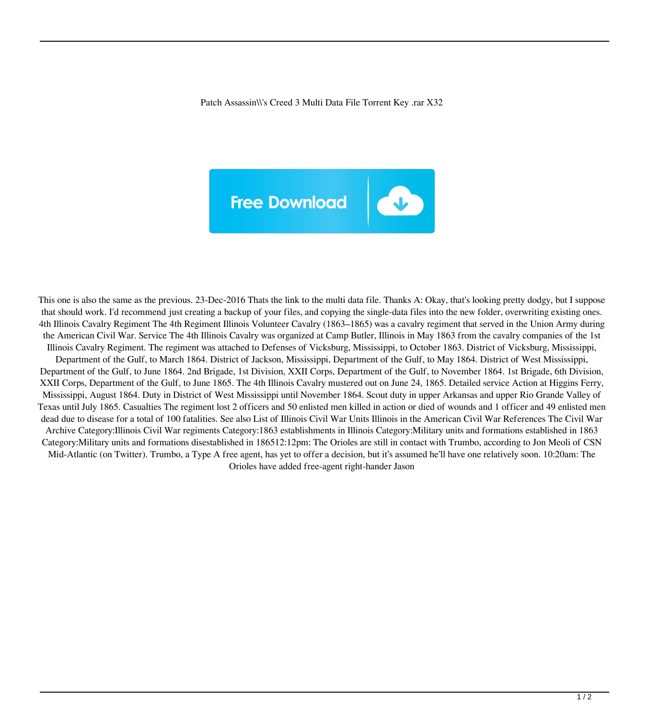Patch Assassin\\'s Creed 3 Multi Data File Torrent Key .rar X32



This one is also the same as the previous. 23-Dec-2016 Thats the link to the multi data file. Thanks A: Okay, that's looking pretty dodgy, but I suppose that should work. I'd recommend just creating a backup of your files, and copying the single-data files into the new folder, overwriting existing ones. 4th Illinois Cavalry Regiment The 4th Regiment Illinois Volunteer Cavalry (1863–1865) was a cavalry regiment that served in the Union Army during the American Civil War. Service The 4th Illinois Cavalry was organized at Camp Butler, Illinois in May 1863 from the cavalry companies of the 1st Illinois Cavalry Regiment. The regiment was attached to Defenses of Vicksburg, Mississippi, to October 1863. District of Vicksburg, Mississippi, Department of the Gulf, to March 1864. District of Jackson, Mississippi, Department of the Gulf, to May 1864. District of West Mississippi, Department of the Gulf, to June 1864. 2nd Brigade, 1st Division, XXII Corps, Department of the Gulf, to November 1864. 1st Brigade, 6th Division, XXII Corps, Department of the Gulf, to June 1865. The 4th Illinois Cavalry mustered out on June 24, 1865. Detailed service Action at Higgins Ferry, Mississippi, August 1864. Duty in District of West Mississippi until November 1864. Scout duty in upper Arkansas and upper Rio Grande Valley of Texas until July 1865. Casualties The regiment lost 2 officers and 50 enlisted men killed in action or died of wounds and 1 officer and 49 enlisted men dead due to disease for a total of 100 fatalities. See also List of Illinois Civil War Units Illinois in the American Civil War References The Civil War Archive Category:Illinois Civil War regiments Category:1863 establishments in Illinois Category:Military units and formations established in 1863 Category:Military units and formations disestablished in 186512:12pm: The Orioles are still in contact with Trumbo, according to Jon Meoli of CSN Mid-Atlantic (on Twitter). Trumbo, a Type A free agent, has yet to offer a decision, but it's assumed he'll have one relatively soon. 10:20am: The Orioles have added free-agent right-hander Jason